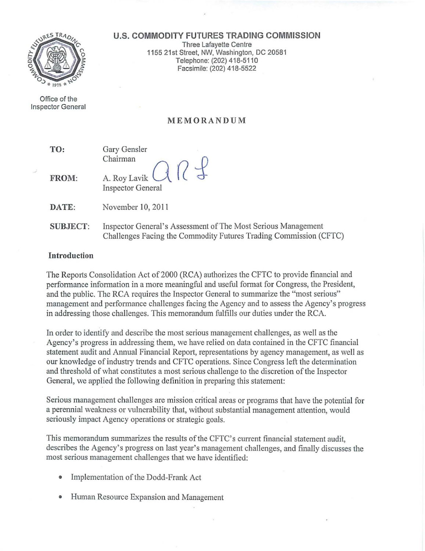# URES TRAD

U.S. **COMMODITY FUTURES TRADING COMMISSION**

Three Lafayette Centre 1155 21st Street, NW, Washington, DC 20581 Telephone: (202) 418-5110 Facsimile: (202) 418-5522

Office of the Inspector General

# MEMORANDUM

| TO:   | Gary Gensler<br>Chairman                   |
|-------|--------------------------------------------|
| FROM: | A. Roy Lavik U<br><b>Inspector General</b> |
| DATE: | November 10, 2011                          |

SUBJECT: Inspector General's Assessment of The Most Serious Management Challenges Facing the Commodity Futures Trading Commission (CFTC)

## Introduction

The Reports Consolidation Act of 2000 (RCA) authorizes the CFTC to provide financial and performance information in a more meaningful and useful format for Congress, the President, and the public. The RCA requires the Inspector General to summarize the "most serious" management and performance challenges facing the Agency and to assess the Agency's progress in addressing those challenges. This memorandum fulfills our duties under the RCA.

In order to identify and describe the most serious management challenges, as well as the Agency's progress in addressing them, we have relied on data contained in the CFTC financial statement audit and Annual Financial Report, representations by agency management, as well as our knowledge of industry trends and CFTC operations. Since Congress left the determination and threshold of what constitutes a most serious challenge to the discretion of the Inspector General, we applied the following definition in preparing this statement:

Serious management challenges are mission critical areas or programs that have the potential for a perennial weakness or vulnerability that, without substantial management attention, would seriously impact Agency operations or strategic goals.

This memorandum summarizes the results of the CFTC's current financial statement audit, describes the Agency's progress on last year's management challenges, and finally discusses the most serious management challenges that we have identified:

- Implementation of the Dodd-Frank Act
- Human Resource Expansion and Management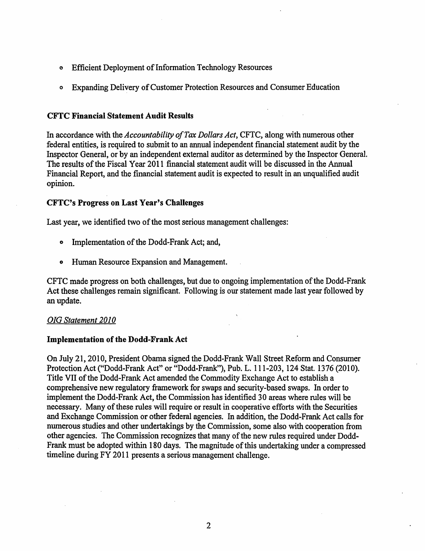- o Efficient Deployment of Information Technology Resources
- o Expanding Delivery ofCustomer Protection Resources and Consumer Education

#### CFTC Financial Statement Audit Results

In accordance with the *Accountability of Tax Dollars Act*, CFTC, along with numerous other federal entities, is required to submit to an annual independent financial statement audit by the Inspector General, or by an independent external auditor as determined by the Inspector General. The results of the Fiscal Year 2011 financial statement audit will be discussed in the Annual Financial Report, and the financial statement audit is expected to result in an unqualified audit opinion.

## CFTC's Progress on Last Year's Challenges

Last year, we identified two of the most serious management challenges:

- Implementation of the Dodd-Frank Act; and,
- o Human Resource Expansion and Management.

CFTC made progress on both challenges, but due to ongoing implementation of the Dodd-Frank Act these challenges remain significant. Following is our statement made last year followed by an update.

#### *DIG Statement 2010*

#### Implementation of the Dodd-Frank Act

On July 21,2010, President Obama signed the Dodd-Frank Wall Street Reform and Consumer Protection Act ("Dodd-Frank Act" or "Dodd-Frank"), Pub. L. 111-203, 124 Stat. 1376 (2010). Title VII of the Dodd-Frank Act amended the Commodity Exchange Act to establish a comprehensive new regulatory framework for swaps and security-based swaps. In order to implement the Dodd-Frank Act, the Commission has identified 30 areas where rules will be necessary. Many of these rules will require or result in cooperative efforts with the Securities and Exchange Commission or other federal agencies. In addition, the Dodd-Frank Act calls for numerous studies and other undertakings by the Commission, some also with cooperation from other agencies. The Commission recognizes that many of the new rules required under Dodd-Frank must be adopted within 180 days. The magnitude of this undertaking under a compressed timeline during FY 2011 presents a serious management challenge.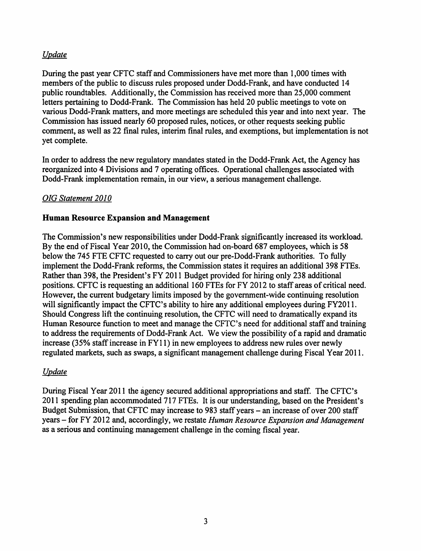# *Update*

During the past year CFTC staff and Commissioners have met more than 1,000 times with members of the public to discuss rules proposed under Dodd-Frank, and have conducted 14 public roundtables. Additionally, the Commission has received more than 25,000 comment letters pertaining to Dodd-Frank. The Commission has held 20 public meetings to vote on various Dodd-Frank matters, and more meetings are scheduled this year and into next year. The Commission has issued nearly 60 proposed rules, notices, or other requests seeking public comment, as well as 22 final rules, interim final rules, and exemptions, but implementation is not yet complete.

In order to address the new regulatory mandates stated in the Dodd-Frank Act, the Agency has reorganized into 4 Divisions and 7 operating offices. Operational challenges associated with Dodd-Frank implementation remain, in our view, a serious management challenge.

# *DIG Statement 2010*

# Human Resource Expansion and Management

The Commission's new responsibilities under Dodd-Frank significantly increased its workload. By the end of Fiscal Year 2010, the Commission had on-board 687 employees, which is 58 below the 745 FTE CFTC requested to carry out our pre-Dodd-Frank authorities. To fully implement the Dodd-Frank reforms, the Commission states it requires an additional 398 FTEs. Rather than 398, the President's FY 2011 Budget provided for hiring only 238 additional positions. CFTC is requesting an additional 160 FTEs for FY 2012 to staff areas of critical need. However, the current budgetary limits imposed by the government-wide continuing resolution will significantly impact the CFTC's ability to hire any additional employees during FY2011. Should Congress lift the continuing resolution, the CFTC will need to dramatically expand its Human Resource function to meet and manage the CFTC's need for additional staff and training to address the requirements of Dodd-Frank Act. We view the possibility of a rapid and dramatic increase (35% staffincrease in FYl1) in new employees to address new rules over newly regulated markets, such as swaps, a significant management challenge during Fiscal Year 2011.

# *Update*

During Fiscal Year 2011 the agency secured additional appropriations and staff. The CFTC's 2011 spending plan accommodated 717 FTEs. It is our understanding, based on the President's Budget Submission, that CFTC may increase to 983 staff years – an increase of over 200 staff years - for FY 2012 and, accordingly, we restate *Human Resource Expansion and Management* as a serious and continuing management challenge in the coming fiscal year.